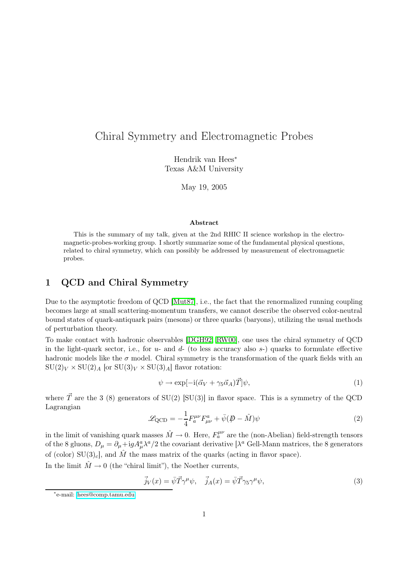# Chiral Symmetry and Electromagnetic Probes

Hendrik van Hees<sup>∗</sup> Texas A&M University

May 19, 2005

#### Abstract

This is the summary of my talk, given at the 2nd RHIC II science workshop in the electromagnetic-probes-working group. I shortly summarize some of the fundamental physical questions, related to chiral symmetry, which can possibly be addressed by measurement of electromagnetic probes.

### 1 QCD and Chiral Symmetry

Due to the asymptotic freedom of QCD [\[Mut87\]](#page-6-0), i.e., the fact that the renormalized running coupling becomes large at small scattering-momentum transfers, we cannot describe the observed color-neutral bound states of quark-antiquark pairs (mesons) or three quarks (baryons), utilizing the usual methods of perturbation theory.

To make contact with hadronic observables [\[DGH92,](#page-5-0) [RW00\]](#page-6-1), one uses the chiral symmetry of QCD in the light-quark sector, i.e., for  $u$ - and  $d$ - (to less accuracy also  $s$ -) quarks to formulate effective hadronic models like the  $\sigma$  model. Chiral symmetry is the transformation of the quark fields with an  $SU(2)_V \times SU(2)_A$  [or  $SU(3)_V \times SU(3)_A$ ] flavor rotation:

<span id="page-0-0"></span>
$$
\psi \to \exp[-i(\vec{\alpha}_V + \gamma_5 \vec{\alpha}_A)\vec{T}]\psi,\tag{1}
$$

where  $\vec{T}$  are the 3 (8) generators of SU(2) [SU(3)] in flavor space. This is a symmetry of the QCD Lagrangian

$$
\mathcal{L}_{\text{QCD}} = -\frac{1}{4} F_a^{\mu\nu} F_{\mu\nu}^a + \bar{\psi} (\not\!\!D - \hat{M}) \psi \tag{2}
$$

in the limit of vanishing quark masses  $\hat{M} \to 0$ . Here,  $F_a^{\mu\nu}$  are the (non-Abelian) field-strength tensors of the 8 gluons,  $D_{\mu} = \partial_{\mu} + igA_{\mu}^{a}\lambda^{a}/2$  the covariant derivative [ $\lambda^{a}$  Gell-Mann matrices, the 8 generators of (color)  $SU(3)_c$ , and M the mass matrix of the quarks (acting in flavor space).

In the limit  $\hat{M} \rightarrow 0$  (the "chiral limit"), the Noether currents,

$$
\vec{j}_V(x) = \bar{\psi}\vec{T}\gamma^{\mu}\psi, \quad \vec{j}_A(x) = \bar{\psi}\vec{T}\gamma_5\gamma^{\mu}\psi,
$$
\n(3)

<sup>∗</sup> e-mail: [hees@comp.tamu.edu](mailto:hees@comp.tamu.edu)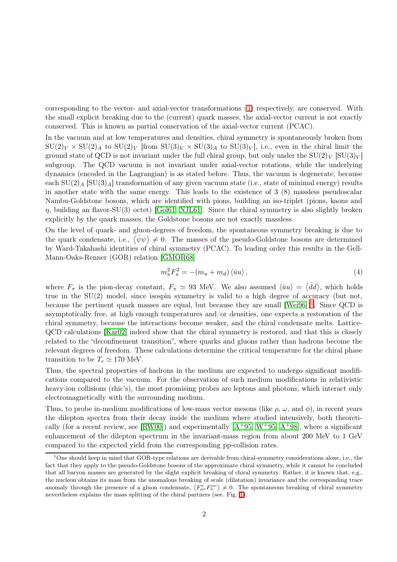corresponding to the vector- and axial-vector transformations [\(1\)](#page-0-0) respectively, are conserved. With the small explicit breaking due to the (current) quark masses, the axial-vector current is not exactly conserved. This is known as partial conservation of the axial-vector current (PCAC).

In the vacuum and at low temperatures and densities, chiral symmetry is spontaneously broken from  $SU(2)_V \times SU(2)_A$  to  $SU(2)_V$  [from  $SU(3)_V \times SU(3)_A$  to  $SU(3)_V$ ], i.e., even in the chiral limit the ground state of QCD is not invariant under the full chiral group, but only under the  $SU(2)_V$  [SU(3)<sub>V</sub>] subgroup. The QCD vacuum is not invariant under axial-vector rotations, while the underlying dynamics (encoded in the Lagrangian) is as stated before. Thus, the vacuum is degenerate, because each  $SU(2)$   $\vert$   $SU(3)$  a) transformation of any given vacuum state (i.e., state of minimal energy) results in another state with the same energy. This leads to the existence of 3 (8) massless pseudoscalar Nambu-Goldstone bosons, which are identified with pions, building an iso-triplet (pions, kaons and  $\eta$ , building an flavor-SU(3) octet) [\[Gol61,](#page-6-2) [NJL61\]](#page-6-3). Since the chiral symmetry is also slightly broken explicitly by the quark masses, the Goldstone bosons are not exactly massless.

On the level of quark- and gluon-degrees of freedom, the spontaneous symmetry breaking is due to the quark condensate, i.e.,  $\langle \bar{\psi}\psi \rangle \neq 0$ . The masses of the pseudo-Goldstone bosons are determined by Ward-Takahashi identities of chiral symmetry (PCAC). To leading order this results in the Gell-Mann-Oaks-Renner (GOR) relation [\[GMOR68\]](#page-6-4)

$$
m_{\pi}^{2}F_{\pi}^{2} = -(m_{u} + m_{d})\langle\bar{u}u\rangle, \qquad (4)
$$

where  $F_{\pi}$  is the pion-decay constant,  $F_{\pi} \simeq 93$  MeV. We also assumed  $\langle \bar{u}u \rangle = \langle \bar{d}d \rangle$ , which holds true in the  $SU(2)$  model, since isospin symmetry is valid to a high degree of accuracy (but not, because the pertinent quark masses are equal, but because they are small  $[Wei96])^1$  $[Wei96])^1$  $[Wei96])^1$ . Since QCD is asymptotically free, at high enough temperatures and/or densities, one expects a restoration of the chiral symmetry, because the interactions become weaker, and the chiral condensate melts. Lattice-QCD calculations [\[Kar02\]](#page-6-6) indeed show that the chiral symmetry is restored, and that this is closely related to the "deconfinement transition", where quarks and gluons rather than hadrons become the relevant degrees of freedom. These calculations determine the critical temperature for the chiral phase transition to be  $T_c \simeq 170$  MeV.

Thus, the spectral properties of hadrons in the medium are expected to undergo significant modifications compared to the vacuum. For the observation of such medium modifications in relativistic heavy-ion collisions (rhic's), the most promising probes are leptons and photons, which interact only electromagnetically with the surrounding medium.

Thus, to probe in-medium modifications of low-mass vector mesons (like  $\rho$ ,  $\omega$ , and  $\phi$ ), in recent years the dilepton spectra from their decay inside the medium where studied intensively, both theoreti-cally (for a recent review, see [\[RW00\]](#page-6-1)) and experimentally  $[A^+95, W^+95, A^+98]$  $[A^+95, W^+95, A^+98]$  $[A^+95, W^+95, A^+98]$  $[A^+95, W^+95, A^+98]$ , where a significant enhancement of the dilepton spectrum in the invariant-mass region from about 200 MeV to 1 GeV compared to the expected yield from the corresponding pp-collision rates.

<span id="page-1-0"></span><sup>&</sup>lt;sup>1</sup>One should keep in mind that GOR-type relations are derivable from chiral-symmetry considerations alone, i.e., the fact that they apply to the pseudo-Goldstone bosons of the approximate chiral symmetry, while it cannot be concluded that all baryon masses are generated by the slight explicit breaking of chiral symmetry. Rather, it is known that, e.g., the nucleon obtains its mass from the anomalous breaking of scale (dilatation) invariance and the corresponding trace anomaly through the presence of a gluon condensate,  $\langle F_{\mu\nu}^a F_a^{\mu\nu} \rangle \neq 0$ . The spontaneous breaking of chiral symmetry nevertheless explains the mass splitting of the chiral partners (see. Fig. [1\)](#page-2-0).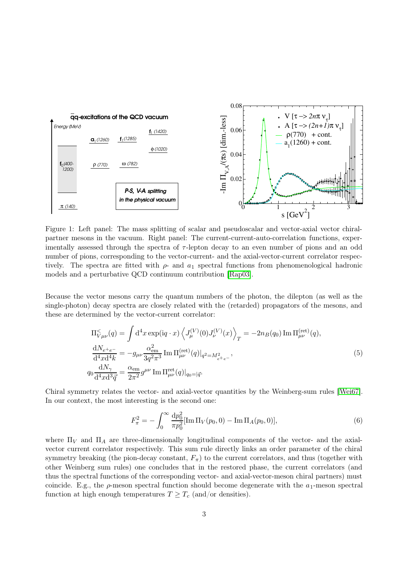

<span id="page-2-0"></span>Figure 1: Left panel: The mass splitting of scalar and pseudoscalar and vector-axial vector chiralpartner mesons in the vacuum. Right panel: The current-current-auto-correlation functions, experimentally assessed through the spectra of  $\tau$ -lepton decay to an even number of pions and an odd number of pions, corresponding to the vector-current- and the axial-vector-current correlator respectively. The spectra are fitted with  $\rho$ - and  $a_1$  spectral functions from phenomenological hadronic models and a perturbative QCD continuum contribution [\[Rap03\]](#page-6-8).

Because the vector mesons carry the quantum numbers of the photon, the dilepton (as well as the single-photon) decay spectra are closely related with the (retarded) propagators of the mesons, and these are determined by the vector-current correlator:

$$
\Pi_{V\mu\nu}^{\leq}(q) = \int d^4x \exp(iq \cdot x) \left\langle J_{\mu}^{(V)}(0)J_{\nu}^{(V)}(x) \right\rangle_T = -2n_B(q_0) \operatorname{Im} \Pi_{\mu\nu}^{(\text{ret})}(q),
$$
\n
$$
\frac{dN_{e^+e^-}}{d^4x d^4k} = -g_{\mu\nu} \frac{\alpha_{em}^2}{3q^2 \pi^3} \operatorname{Im} \Pi_{\mu\nu}^{(\text{ret})}(q)|_{q^2 = M_{e^+e^-}},
$$
\n
$$
q_0 \frac{dN_{\gamma}}{d^4x d^3 \vec{q}} = \frac{\alpha_{em}}{2\pi^2} g^{\mu\nu} \operatorname{Im} \Pi_{\mu\nu}^{(\text{ret})}(q)|_{q_0 = |\vec{q}}.
$$
\n(5)

Chiral symmetry relates the vector- and axial-vector quantities by the Weinberg-sum rules [\[Wei67\]](#page-6-9). In our context, the most interesting is the second one:

$$
F_{\pi}^{2} = -\int_{0}^{\infty} \frac{\mathrm{d}p_{0}^{2}}{\pi p_{0}^{2}} [\text{Im}\,\Pi_{V}(p_{0},0) - \text{Im}\,\Pi_{A}(p_{0},0)],\tag{6}
$$

where  $\Pi_V$  and  $\Pi_A$  are three-dimensionally longitudinal components of the vector- and the axialvector current correlator respectively. This sum rule directly links an order parameter of the chiral symmetry breaking (the pion-decay constant,  $F_{\pi}$ ) to the current correlators, and thus (together with other Weinberg sum rules) one concludes that in the restored phase, the current correlators (and thus the spectral functions of the corresponding vector- and axial-vector-meson chiral partners) must coincide. E.g., the  $\rho$ -meson spectral function should become degenerate with the  $a_1$ -meson spectral function at high enough temperatures  $T \geq T_c$  (and/or densities).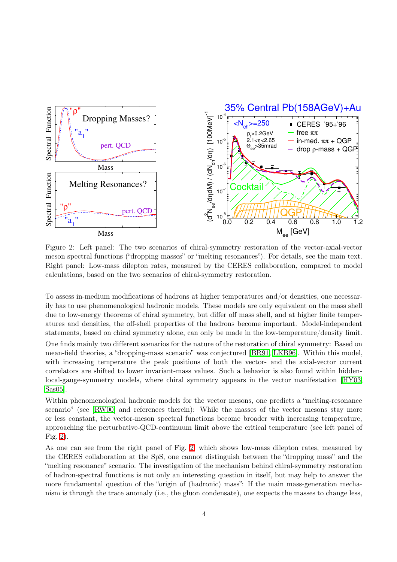

<span id="page-3-0"></span>Figure 2: Left panel: The two scenarios of chiral-symmetry restoration of the vector-axial-vector meson spectral functions ("dropping masses" or "melting resonances"). For details, see the main text. Right panel: Low-mass dilepton rates, measured by the CERES collaboration, compared to model calculations, based on the two scenarios of chiral-symmetry restoration.

To assess in-medium modifications of hadrons at higher temperatures and/or densities, one necessarily has to use phenomenological hadronic models. These models are only equivalent on the mass shell due to low-energy theorems of chiral symmetry, but differ off mass shell, and at higher finite temperatures and densities, the off-shell properties of the hadrons become important. Model-independent statements, based on chiral symmetry alone, can only be made in the low-temperature/density limit.

One finds mainly two different scenarios for the nature of the restoration of chiral symmetry: Based on mean-field theories, a "dropping-mass scenario" was conjectured [\[BR91,](#page-5-3) [LKB96\]](#page-6-10). Within this model, with increasing temperature the peak positions of both the vector- and the axial-vector current correlators are shifted to lower invariant-mass values. Such a behavior is also found within hiddenlocal-gauge-symmetry models, where chiral symmetry appears in the vector manifestation [[HY03,](#page-6-11) [Sas05\]](#page-6-12).

Within phenomenological hadronic models for the vector mesons, one predicts a "melting-resonance scenario" (see [\[RW00\]](#page-6-1) and references therein): While the masses of the vector mesons stay more or less constant, the vector-meson spectral functions become broader with increasing temperature, approaching the perturbative-QCD-continuum limit above the critical temperature (see left panel of Fig. [2\)](#page-3-0).

As one can see from the right panel of Fig. [2,](#page-3-0) which shows low-mass dilepton rates, measured by the CERES collaboration at the SpS, one cannot distinguish between the "dropping mass" and the "melting resonance" scenario. The investigation of the mechanism behind chiral-symmetry restoration of hadron-spectral functions is not only an interesting question in itself, but may help to answer the more fundamental question of the "origin of (hadronic) mass": If the main mass-generation mechanism is through the trace anomaly (i.e., the gluon condensate), one expects the masses to change less,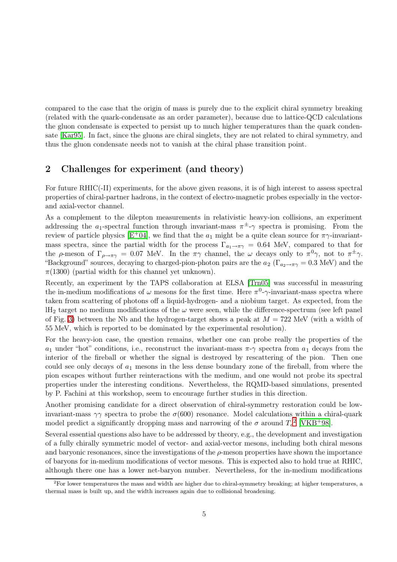compared to the case that the origin of mass is purely due to the explicit chiral symmetry breaking (related with the quark-condensate as an order parameter), because due to lattice-QCD calculations the gluon condensate is expected to persist up to much higher temperatures than the quark condensate [\[Kar95\]](#page-6-13). In fact, since the gluons are chiral singlets, they are not related to chiral symmetry, and thus the gluon condensate needs not to vanish at the chiral phase transition point.

#### 2 Challenges for experiment (and theory)

For future RHIC(-II) experiments, for the above given reasons, it is of high interest to assess spectral properties of chiral-partner hadrons, in the context of electro-magnetic probes especially in the vectorand axial-vector channel.

As a complement to the dilepton measurements in relativistic heavy-ion collisions, an experiment addressing the  $a_1$ -spectral function through invariant-mass  $\pi^{\pm}$ - $\gamma$  spectra is promising. From the review of particle physics  $[E^+04]$  $[E^+04]$ , we find that the  $a_1$  might be a quite clean source for  $\pi\gamma$ -invariantmass spectra, since the partial width for the process  $\Gamma_{a_1\to\pi\gamma} = 0.64$  MeV, compared to that for the  $\rho$ -meson of  $\Gamma_{\rho\to\pi\gamma} = 0.07$  MeV. In the  $\pi\gamma$  channel, the  $\omega$  decays only to  $\pi^0\gamma$ , not to  $\pi^{\pm}\gamma$ . "Background" sources, decaying to charged-pion-photon pairs are the  $a_2$  ( $\Gamma_{a_2\to\pi\gamma}=0.3$  MeV) and the  $\pi(1300)$  (partial width for this channel yet unknown).

Recently, an experiment by the TAPS collaboration at ELSA [\[Trn05\]](#page-6-14) was successful in measuring the in-medium modifications of  $\omega$  mesons for the first time. Here  $\pi^0$ - $\gamma$ -invariant-mass spectra where taken from scattering of photons off a liquid-hydrogen- and a niobium target. As expected, from the  $H_2$  target no medium modifications of the  $\omega$  were seen, while the difference-spectrum (see left panel of Fig. [3\)](#page-5-5) between the Nb and the hydrogen-target shows a peak at  $M = 722$  MeV (with a width of 55 MeV, which is reported to be dominated by the experimental resolution).

For the heavy-ion case, the question remains, whether one can probe really the properties of the  $a_1$  under "hot" conditions, i.e., reconstruct the invariant-mass π-γ spectra from  $a_1$  decays from the interior of the fireball or whether the signal is destroyed by rescattering of the pion. Then one could see only decays of  $a_1$  mesons in the less dense boundary zone of the fireball, from where the pion escapes without further reinteractions with the medium, and one would not probe its spectral properties under the interesting conditions. Nevertheless, the RQMD-based simulations, presented by P. Fachini at this workshop, seem to encourage further studies in this direction.

Another promising candidate for a direct observation of chiral-symmetry restoration could be lowinvariant-mass  $\gamma\gamma$  spectra to probe the  $\sigma$ (600) resonance. Model calculations within a chiral-quark model predict a significantly dropping mass and narrowing of the  $\sigma$  around  $T_c^2$  $T_c^2$  [\[VKB](#page-6-15)<sup>+</sup>98].

Several essential questions also have to be addressed by theory, e.g., the development and investigation of a fully chirally symmetric model of vector- and axial-vector mesons, including both chiral mesons and baryonic resonances, since the investigations of the  $\rho$ -meson properties have shown the importance of baryons for in-medium modifications of vector mesons. This is expected also to hold true at RHIC, although there one has a lower net-baryon number. Nevertheless, for the in-medium modifications

<span id="page-4-0"></span> ${}^{2}$ For lower temperatures the mass and width are higher due to chiral-symmetry breaking; at higher temperatures, a thermal mass is built up, and the width increases again due to collisional broadening.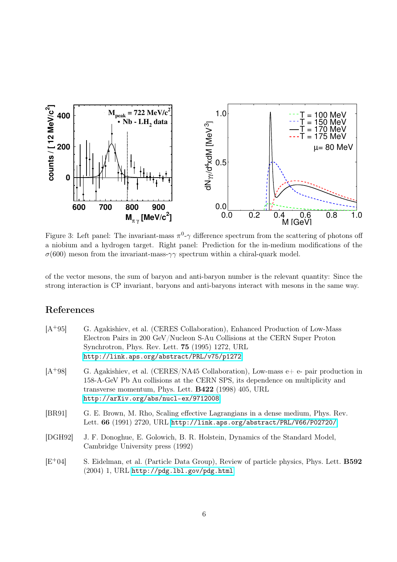

<span id="page-5-5"></span>Figure 3: Left panel: The invariant-mass  $\pi^0$ - $\gamma$  difference spectrum from the scattering of photons off a niobium and a hydrogen target. Right panel: Prediction for the in-medium modifications of the  $\sigma$ (600) meson from the invariant-mass- $\gamma\gamma$  spectrum within a chiral-quark model.

of the vector mesons, the sum of baryon and anti-baryon number is the relevant quantity: Since the strong interaction is CP invariant, baryons and anti-baryons interact with mesons in the same way.

## References

<span id="page-5-4"></span><span id="page-5-3"></span><span id="page-5-2"></span><span id="page-5-1"></span><span id="page-5-0"></span>

| $[A+95]$ | G. Agakishiev, et al. (CERES Collaboration), Enhanced Production of Low-Mass<br>Electron Pairs in 200 GeV/Nucleon S-Au Collisions at the CERN Super Proton<br>Synchrotron, Phys. Rev. Lett. <b>75</b> (1995) 1272, URL<br>http://link.aps.org/abstract/PRL/v75/p1272           |
|----------|--------------------------------------------------------------------------------------------------------------------------------------------------------------------------------------------------------------------------------------------------------------------------------|
| $[A+98]$ | G. Agakishiev, et al. (CERES/NA45 Collaboration), Low-mass $e+e-$ pair production in<br>158-A-GeV Pb Au collisions at the CERN SPS, its dependence on multiplicity and<br>transverse momentum, Phys. Lett. <b>B422</b> (1998) 405, URL<br>http://arXiv.org/abs/nucl-ex/9712008 |
| [BR91]   | G. E. Brown, M. Rho, Scaling effective Lagrangians in a dense medium, Phys. Rev.<br>Lett. 66 (1991) 2720, URL http://link.aps.org/abstract/PRL/V66/P02720/                                                                                                                     |
| [DGH92]  | J. F. Donoghue, E. Golowich, B. R. Holstein, Dynamics of the Standard Model,<br>Cambridge University press (1992)                                                                                                                                                              |
| $[E+04]$ | S. Eidelman, et al. (Particle Data Group), Review of particle physics, Phys. Lett. <b>B592</b><br>$(2004)$ 1, URL http://pdg.1bl.gov/pdg.html                                                                                                                                  |